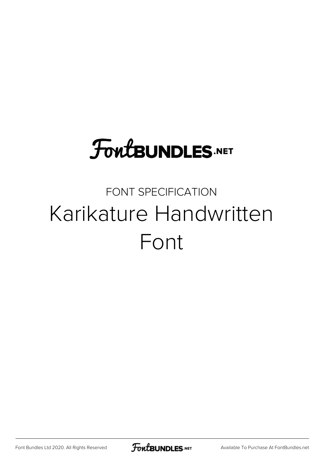# **FoutBUNDLES.NET**

#### FONT SPECIFICATION Karikature Handwritten Font

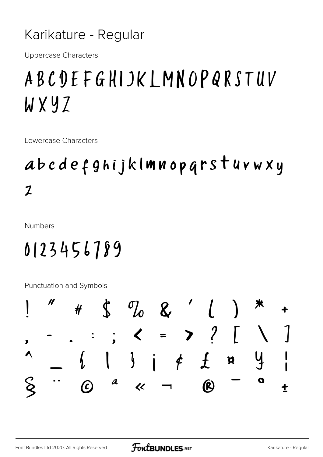#### Karikature - Regular

**Uppercase Characters** 

## ABCDEFGHIJKLMNOPQRSTUV WXYZ

Lowercase Characters

### abcdefghijklmnoparstuvwxy  $\boldsymbol{z}$

**Numbers** 

## 0123456789

Punctuation and Symbols

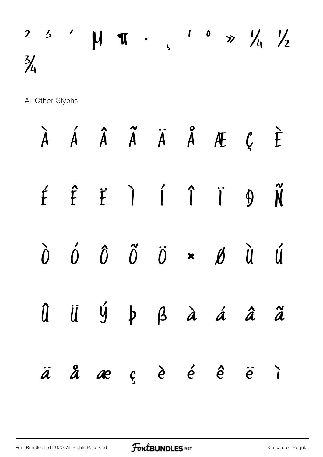## $2$  3  $'$   $M$   $T$   $\cdot$   $\frac{1}{5}$   $\frac{6}{7}$   $\frac{1}{4}$   $\frac{1}{2}$  $\frac{3}{4}$

All Other Glyphs

|  | $\begin{array}{ccccccccccccccccc} \lambda & \acute{A} & \acute{A} & \acute{A} & \ddot{A} & \ddot{A} & \ddot{A} & \mathcal{H} & \mathcal{C} & \dot{E} \end{array}$                                                                                                                                                                              |  |  |  |
|--|------------------------------------------------------------------------------------------------------------------------------------------------------------------------------------------------------------------------------------------------------------------------------------------------------------------------------------------------|--|--|--|
|  | $\acute{t}$ $\acute{t}$ $\acute{t}$ $\acute{t}$ $\acute{t}$ $\acute{t}$ $\acute{t}$ $\acute{t}$ $\acute{t}$ $\acute{t}$ $\acute{t}$ $\acute{t}$ $\acute{t}$ $\acute{t}$ $\acute{t}$ $\acute{t}$ $\acute{t}$ $\acute{t}$ $\acute{t}$ $\acute{t}$ $\acute{t}$ $\acute{t}$ $\acute{t}$ $\acute{t}$ $\acute{t}$ $\acute{t}$ $\acute{t}$ $\acute{t$ |  |  |  |
|  | $\begin{array}{ccc} \n\hat{0} & \hat{0} & \hat{0} & \hat{0} & \hat{0} & \star & \emptyset & \hat{0} & \hat{u} & \hat{u} \n\end{array}$                                                                                                                                                                                                         |  |  |  |
|  | Û Ü Ý þ ß à á â ã                                                                                                                                                                                                                                                                                                                              |  |  |  |
|  | äåæçèé é ë i                                                                                                                                                                                                                                                                                                                                   |  |  |  |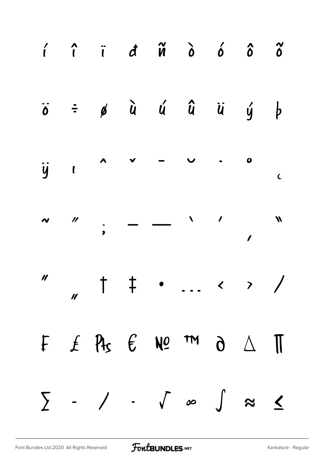|  | $\hat{i}$ $\hat{i}$ $\hat{d}$ $\hat{w}$ $\hat{o}$ $\hat{o}$ $\hat{o}$                                                       |  |  |  |
|--|-----------------------------------------------------------------------------------------------------------------------------|--|--|--|
|  | $\ddot{o}$ = $\phi$ $\ddot{u}$ $\acute{u}$ $\ddot{u}$ $\ddot{u}$ $\acute{y}$ $\phi$                                         |  |  |  |
|  |                                                                                                                             |  |  |  |
|  | $\begin{array}{ccccccc}\n\sim & \end{array}$ , $\qquad \qquad \qquad$ , $\qquad \qquad$ , $\qquad \qquad$ , $\qquad \qquad$ |  |  |  |
|  | $\frac{1}{1}$ +  \ )                                                                                                        |  |  |  |
|  | F $f$ $\theta$ $f$ $\theta$ $\omega$ $m$ $\theta$ $\Delta$ $\pi$                                                            |  |  |  |
|  | $\sum$ - / · $\int$ $\infty$ $\int$ $\approx$ $\le$                                                                         |  |  |  |